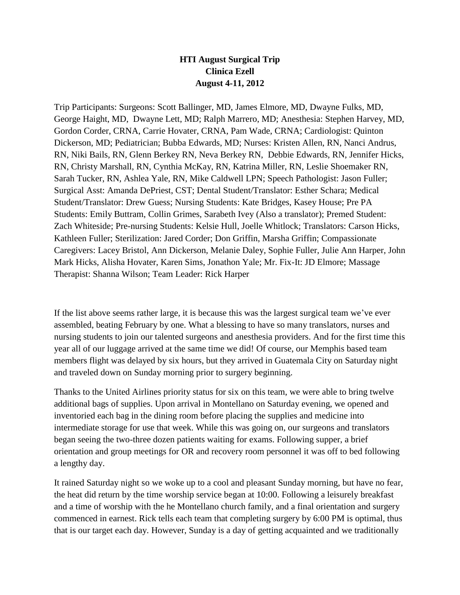## **HTI August Surgical Trip Clinica Ezell August 4-11, 2012**

Trip Participants: Surgeons: Scott Ballinger, MD, James Elmore, MD, Dwayne Fulks, MD, George Haight, MD, Dwayne Lett, MD; Ralph Marrero, MD; Anesthesia: Stephen Harvey, MD, Gordon Corder, CRNA, Carrie Hovater, CRNA, Pam Wade, CRNA; Cardiologist: Quinton Dickerson, MD; Pediatrician; Bubba Edwards, MD; Nurses: Kristen Allen, RN, Nanci Andrus, RN, Niki Bails, RN, Glenn Berkey RN, Neva Berkey RN, Debbie Edwards, RN, Jennifer Hicks, RN, Christy Marshall, RN, Cynthia McKay, RN, Katrina Miller, RN, Leslie Shoemaker RN, Sarah Tucker, RN, Ashlea Yale, RN, Mike Caldwell LPN; Speech Pathologist: Jason Fuller; Surgical Asst: Amanda DePriest, CST; Dental Student/Translator: Esther Schara; Medical Student/Translator: Drew Guess; Nursing Students: Kate Bridges, Kasey House; Pre PA Students: Emily Buttram, Collin Grimes, Sarabeth Ivey (Also a translator); Premed Student: Zach Whiteside; Pre-nursing Students: Kelsie Hull, Joelle Whitlock; Translators: Carson Hicks, Kathleen Fuller; Sterilization: Jared Corder; Don Griffin, Marsha Griffin; Compassionate Caregivers: Lacey Bristol, Ann Dickerson, Melanie Daley, Sophie Fuller, Julie Ann Harper, John Mark Hicks, Alisha Hovater, Karen Sims, Jonathon Yale; Mr. Fix-It: JD Elmore; Massage Therapist: Shanna Wilson; Team Leader: Rick Harper

If the list above seems rather large, it is because this was the largest surgical team we've ever assembled, beating February by one. What a blessing to have so many translators, nurses and nursing students to join our talented surgeons and anesthesia providers. And for the first time this year all of our luggage arrived at the same time we did! Of course, our Memphis based team members flight was delayed by six hours, but they arrived in Guatemala City on Saturday night and traveled down on Sunday morning prior to surgery beginning.

Thanks to the United Airlines priority status for six on this team, we were able to bring twelve additional bags of supplies. Upon arrival in Montellano on Saturday evening, we opened and inventoried each bag in the dining room before placing the supplies and medicine into intermediate storage for use that week. While this was going on, our surgeons and translators began seeing the two-three dozen patients waiting for exams. Following supper, a brief orientation and group meetings for OR and recovery room personnel it was off to bed following a lengthy day.

It rained Saturday night so we woke up to a cool and pleasant Sunday morning, but have no fear, the heat did return by the time worship service began at 10:00. Following a leisurely breakfast and a time of worship with the he Montellano church family, and a final orientation and surgery commenced in earnest. Rick tells each team that completing surgery by 6:00 PM is optimal, thus that is our target each day. However, Sunday is a day of getting acquainted and we traditionally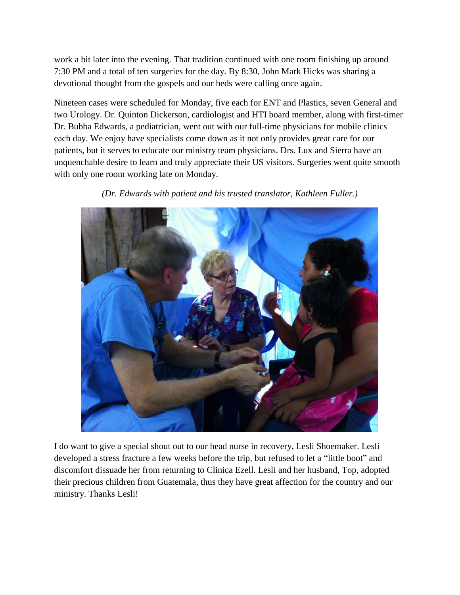work a bit later into the evening. That tradition continued with one room finishing up around 7:30 PM and a total of ten surgeries for the day. By 8:30, John Mark Hicks was sharing a devotional thought from the gospels and our beds were calling once again.

Nineteen cases were scheduled for Monday, five each for ENT and Plastics, seven General and two Urology. Dr. Quinton Dickerson, cardiologist and HTI board member, along with first-timer Dr. Bubba Edwards, a pediatrician, went out with our full-time physicians for mobile clinics each day. We enjoy have specialists come down as it not only provides great care for our patients, but it serves to educate our ministry team physicians. Drs. Lux and Sierra have an unquenchable desire to learn and truly appreciate their US visitors. Surgeries went quite smooth with only one room working late on Monday.



*(Dr. Edwards with patient and his trusted translator, Kathleen Fuller.)*

I do want to give a special shout out to our head nurse in recovery, Lesli Shoemaker. Lesli developed a stress fracture a few weeks before the trip, but refused to let a "little boot" and discomfort dissuade her from returning to Clinica Ezell. Lesli and her husband, Top, adopted their precious children from Guatemala, thus they have great affection for the country and our ministry. Thanks Lesli!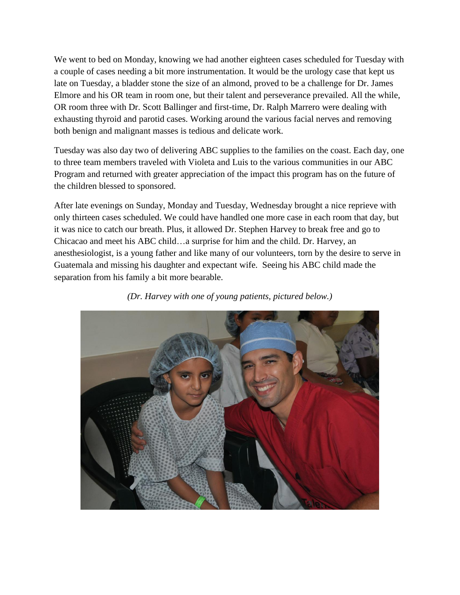We went to bed on Monday, knowing we had another eighteen cases scheduled for Tuesday with a couple of cases needing a bit more instrumentation. It would be the urology case that kept us late on Tuesday, a bladder stone the size of an almond, proved to be a challenge for Dr. James Elmore and his OR team in room one, but their talent and perseverance prevailed. All the while, OR room three with Dr. Scott Ballinger and first-time, Dr. Ralph Marrero were dealing with exhausting thyroid and parotid cases. Working around the various facial nerves and removing both benign and malignant masses is tedious and delicate work.

Tuesday was also day two of delivering ABC supplies to the families on the coast. Each day, one to three team members traveled with Violeta and Luis to the various communities in our ABC Program and returned with greater appreciation of the impact this program has on the future of the children blessed to sponsored.

After late evenings on Sunday, Monday and Tuesday, Wednesday brought a nice reprieve with only thirteen cases scheduled. We could have handled one more case in each room that day, but it was nice to catch our breath. Plus, it allowed Dr. Stephen Harvey to break free and go to Chicacao and meet his ABC child…a surprise for him and the child. Dr. Harvey, an anesthesiologist, is a young father and like many of our volunteers, torn by the desire to serve in Guatemala and missing his daughter and expectant wife. Seeing his ABC child made the separation from his family a bit more bearable.



*(Dr. Harvey with one of young patients, pictured below.)*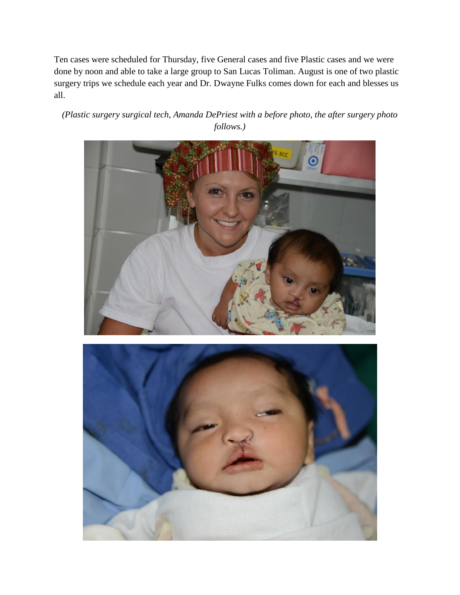Ten cases were scheduled for Thursday, five General cases and five Plastic cases and we were done by noon and able to take a large group to San Lucas Toliman. August is one of two plastic surgery trips we schedule each year and Dr. Dwayne Fulks comes down for each and blesses us all.

*(Plastic surgery surgical tech, Amanda DePriest with a before photo, the after surgery photo follows.)*